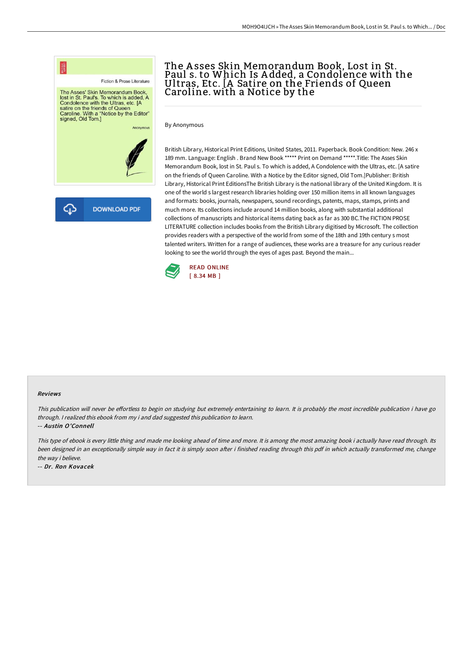

# The A sses Skin Memorandum Book, Lost in St. Paul s. to Which Is A dded, a Condolence with the Ultras, Etc. [A Satire on the Friends of Queen Caroline. with a Notice by the

By Anonymous

British Library, Historical Print Editions, United States, 2011. Paperback. Book Condition: New. 246 x 189 mm. Language: English . Brand New Book \*\*\*\*\* Print on Demand \*\*\*\*\*.Title: The Asses Skin Memorandum Book, lost in St. Paul s. To which is added, A Condolence with the Ultras, etc. [A satire on the friends of Queen Caroline. With a Notice by the Editor signed, Old Tom.]Publisher: British Library, Historical Print EditionsThe British Library is the national library of the United Kingdom. It is one of the world s largest research libraries holding over 150 million items in all known languages and formats: books, journals, newspapers, sound recordings, patents, maps, stamps, prints and much more. Its collections include around 14 million books, along with substantial additional collections of manuscripts and historical items dating back as far as 300 BC.The FICTION PROSE LITERATURE collection includes books from the British Library digitised by Microsoft. The collection provides readers with a perspective of the world from some of the 18th and 19th century s most talented writers. Written for a range of audiences, these works are a treasure for any curious reader looking to see the world through the eyes of ages past. Beyond the main...



#### Reviews

This publication will never be effortless to begin on studying but extremely entertaining to learn. It is probably the most incredible publication i have go through. <sup>I</sup> realized this ebook from my i and dad suggested this publication to learn.

-- Austin O'Connell

This type of ebook is every little thing and made me looking ahead of time and more. It is among the most amazing book i actually have read through. Its been designed in an exceptionally simple way in fact it is simply soon after i finished reading through this pdf in which actually transformed me, change the way i believe.

-- Dr. Ron Kovacek